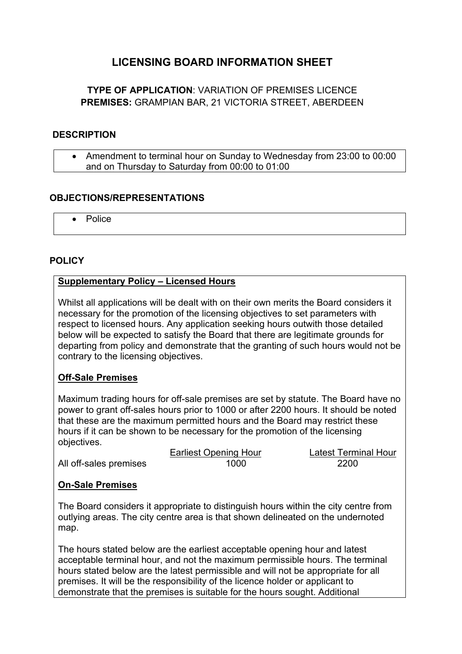# **LICENSING BOARD INFORMATION SHEET**

# **TYPE OF APPLICATION**: VARIATION OF PREMISES LICENCE **PREMISES:** GRAMPIAN BAR, 21 VICTORIA STREET, ABERDEEN

## **DESCRIPTION**

 Amendment to terminal hour on Sunday to Wednesday from 23:00 to 00:00 and on Thursday to Saturday from 00:00 to 01:00

# **OBJECTIONS/REPRESENTATIONS**

• Police

# **POLICY**

## **Supplementary Policy – Licensed Hours**

Whilst all applications will be dealt with on their own merits the Board considers it necessary for the promotion of the licensing objectives to set parameters with respect to licensed hours. Any application seeking hours outwith those detailed below will be expected to satisfy the Board that there are legitimate grounds for departing from policy and demonstrate that the granting of such hours would not be contrary to the licensing objectives.

## **Off-Sale Premises**

Maximum trading hours for off-sale premises are set by statute. The Board have no power to grant off-sales hours prior to 1000 or after 2200 hours. It should be noted that these are the maximum permitted hours and the Board may restrict these hours if it can be shown to be necessary for the promotion of the licensing objectives.

|                        | <b>Earliest Opening Hour</b> | <b>Latest Terminal Hour</b> |
|------------------------|------------------------------|-----------------------------|
| All off-sales premises | 1000                         | 2200                        |

## **On-Sale Premises**

The Board considers it appropriate to distinguish hours within the city centre from outlying areas. The city centre area is that shown delineated on the undernoted map.

The hours stated below are the earliest acceptable opening hour and latest acceptable terminal hour, and not the maximum permissible hours. The terminal hours stated below are the latest permissible and will not be appropriate for all premises. It will be the responsibility of the licence holder or applicant to demonstrate that the premises is suitable for the hours sought. Additional